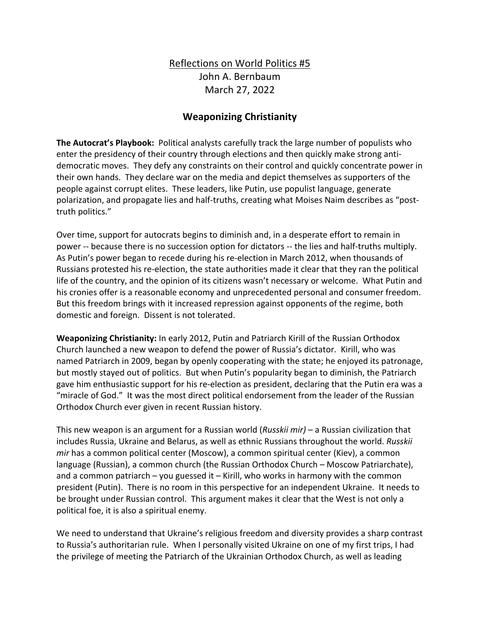## Reflections on World Politics #5 John A. Bernbaum March 27, 2022

## **Weaponizing Christianity**

**The Autocrat's Playbook:** Political analysts carefully track the large number of populists who enter the presidency of their country through elections and then quickly make strong antidemocratic moves. They defy any constraints on their control and quickly concentrate power in their own hands. They declare war on the media and depict themselves as supporters of the people against corrupt elites. These leaders, like Putin, use populist language, generate polarization, and propagate lies and half-truths, creating what Moises Naim describes as "posttruth politics."

Over time, support for autocrats begins to diminish and, in a desperate effort to remain in power -- because there is no succession option for dictators -- the lies and half-truths multiply. As Putin's power began to recede during his re-election in March 2012, when thousands of Russians protested his re-election, the state authorities made it clear that they ran the political life of the country, and the opinion of its citizens wasn't necessary or welcome. What Putin and his cronies offer is a reasonable economy and unprecedented personal and consumer freedom. But this freedom brings with it increased repression against opponents of the regime, both domestic and foreign. Dissent is not tolerated.

**Weaponizing Christianity:** In early 2012, Putin and Patriarch Kirill of the Russian Orthodox Church launched a new weapon to defend the power of Russia's dictator. Kirill, who was named Patriarch in 2009, began by openly cooperating with the state; he enjoyed its patronage, but mostly stayed out of politics. But when Putin's popularity began to diminish, the Patriarch gave him enthusiastic support for his re-election as president, declaring that the Putin era was a "miracle of God." It was the most direct political endorsement from the leader of the Russian Orthodox Church ever given in recent Russian history.

This new weapon is an argument for a Russian world (*Russkii mir)* – a Russian civilization that includes Russia, Ukraine and Belarus, as well as ethnic Russians throughout the world. *Russkii mir* has a common political center (Moscow), a common spiritual center (Kiev), a common language (Russian), a common church (the Russian Orthodox Church – Moscow Patriarchate), and a common patriarch – you guessed it – Kirill, who works in harmony with the common president (Putin). There is no room in this perspective for an independent Ukraine. It needs to be brought under Russian control. This argument makes it clear that the West is not only a political foe, it is also a spiritual enemy.

We need to understand that Ukraine's religious freedom and diversity provides a sharp contrast to Russia's authoritarian rule. When I personally visited Ukraine on one of my first trips, I had the privilege of meeting the Patriarch of the Ukrainian Orthodox Church, as well as leading